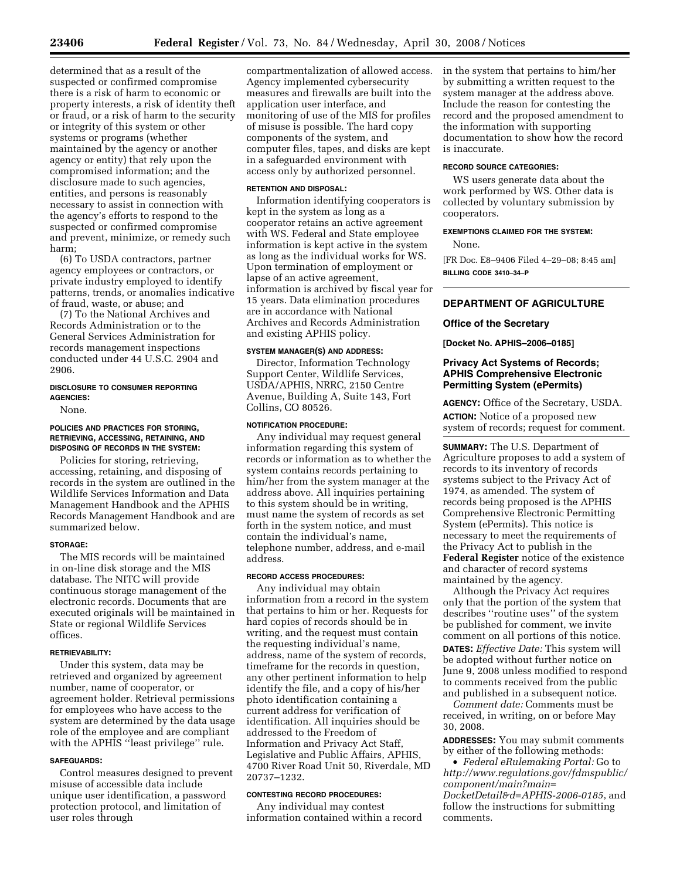determined that as a result of the suspected or confirmed compromise there is a risk of harm to economic or property interests, a risk of identity theft or fraud, or a risk of harm to the security or integrity of this system or other systems or programs (whether maintained by the agency or another agency or entity) that rely upon the compromised information; and the disclosure made to such agencies, entities, and persons is reasonably necessary to assist in connection with the agency's efforts to respond to the suspected or confirmed compromise and prevent, minimize, or remedy such harm;

(6) To USDA contractors, partner agency employees or contractors, or private industry employed to identify patterns, trends, or anomalies indicative of fraud, waste, or abuse; and

(7) To the National Archives and Records Administration or to the General Services Administration for records management inspections conducted under 44 U.S.C. 2904 and 2906.

## **DISCLOSURE TO CONSUMER REPORTING AGENCIES:**

None.

#### **POLICIES AND PRACTICES FOR STORING, RETRIEVING, ACCESSING, RETAINING, AND DISPOSING OF RECORDS IN THE SYSTEM:**

Policies for storing, retrieving, accessing, retaining, and disposing of records in the system are outlined in the Wildlife Services Information and Data Management Handbook and the APHIS Records Management Handbook and are summarized below.

### **STORAGE:**

The MIS records will be maintained in on-line disk storage and the MIS database. The NITC will provide continuous storage management of the electronic records. Documents that are executed originals will be maintained in State or regional Wildlife Services offices.

#### **RETRIEVABILITY:**

Under this system, data may be retrieved and organized by agreement number, name of cooperator, or agreement holder. Retrieval permissions for employees who have access to the system are determined by the data usage role of the employee and are compliant with the APHIS "least privilege" rule.

## **SAFEGUARDS:**

Control measures designed to prevent misuse of accessible data include unique user identification, a password protection protocol, and limitation of user roles through

compartmentalization of allowed access. Agency implemented cybersecurity measures and firewalls are built into the application user interface, and monitoring of use of the MIS for profiles of misuse is possible. The hard copy components of the system, and computer files, tapes, and disks are kept in a safeguarded environment with access only by authorized personnel.

## **RETENTION AND DISPOSAL:**

Information identifying cooperators is kept in the system as long as a cooperator retains an active agreement with WS. Federal and State employee information is kept active in the system as long as the individual works for WS. Upon termination of employment or lapse of an active agreement, information is archived by fiscal year for 15 years. Data elimination procedures are in accordance with National Archives and Records Administration and existing APHIS policy.

#### **SYSTEM MANAGER(S) AND ADDRESS:**

Director, Information Technology Support Center, Wildlife Services, USDA/APHIS, NRRC, 2150 Centre Avenue, Building A, Suite 143, Fort Collins, CO 80526.

#### **NOTIFICATION PROCEDURE:**

Any individual may request general information regarding this system of records or information as to whether the system contains records pertaining to him/her from the system manager at the address above. All inquiries pertaining to this system should be in writing, must name the system of records as set forth in the system notice, and must contain the individual's name, telephone number, address, and e-mail address.

### **RECORD ACCESS PROCEDURES:**

Any individual may obtain information from a record in the system that pertains to him or her. Requests for hard copies of records should be in writing, and the request must contain the requesting individual's name, address, name of the system of records, timeframe for the records in question, any other pertinent information to help identify the file, and a copy of his/her photo identification containing a current address for verification of identification. All inquiries should be addressed to the Freedom of Information and Privacy Act Staff, Legislative and Public Affairs, APHIS, 4700 River Road Unit 50, Riverdale, MD 20737–1232.

### **CONTESTING RECORD PROCEDURES:**

Any individual may contest information contained within a record in the system that pertains to him/her by submitting a written request to the system manager at the address above. Include the reason for contesting the record and the proposed amendment to the information with supporting documentation to show how the record is inaccurate.

### **RECORD SOURCE CATEGORIES:**

WS users generate data about the work performed by WS. Other data is collected by voluntary submission by cooperators.

# **EXEMPTIONS CLAIMED FOR THE SYSTEM:**

None.

[FR Doc. E8–9406 Filed 4–29–08; 8:45 am] **BILLING CODE 3410–34–P** 

## **DEPARTMENT OF AGRICULTURE**

#### **Office of the Secretary**

**[Docket No. APHIS–2006–0185]** 

### **Privacy Act Systems of Records; APHIS Comprehensive Electronic Permitting System (ePermits)**

**AGENCY:** Office of the Secretary, USDA. **ACTION:** Notice of a proposed new system of records; request for comment.

**SUMMARY:** The U.S. Department of Agriculture proposes to add a system of records to its inventory of records systems subject to the Privacy Act of 1974, as amended. The system of records being proposed is the APHIS Comprehensive Electronic Permitting System (ePermits). This notice is necessary to meet the requirements of the Privacy Act to publish in the **Federal Register** notice of the existence and character of record systems maintained by the agency.

Although the Privacy Act requires only that the portion of the system that describes ''routine uses'' of the system be published for comment, we invite comment on all portions of this notice.

**DATES:** *Effective Date:* This system will be adopted without further notice on June 9, 2008 unless modified to respond to comments received from the public and published in a subsequent notice.

*Comment date:* Comments must be received, in writing, on or before May 30, 2008.

**ADDRESSES:** You may submit comments by either of the following methods:

• *Federal eRulemaking Portal:* Go to *http://www.regulations.gov/fdmspublic/ component/main?main= DocketDetail&d=APHIS-2006-0185*, and follow the instructions for submitting comments.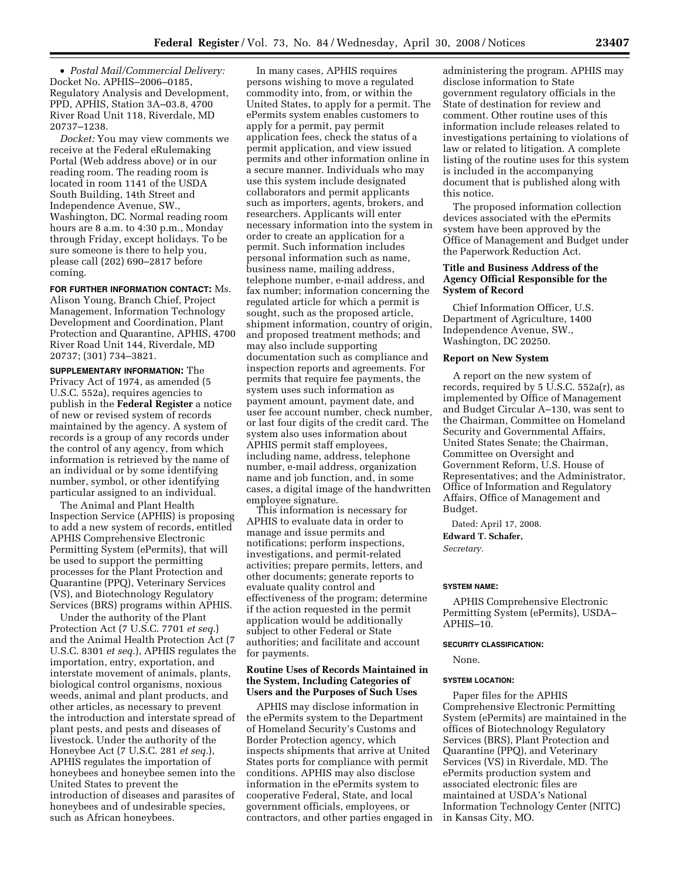• *Postal Mail/Commercial Delivery:*  Docket No. APHIS–2006–0185, Regulatory Analysis and Development, PPD, APHIS, Station 3A–03.8, 4700 River Road Unit 118, Riverdale, MD 20737–1238.

*Docket:* You may view comments we receive at the Federal eRulemaking Portal (Web address above) or in our reading room. The reading room is located in room 1141 of the USDA South Building, 14th Street and Independence Avenue, SW., Washington, DC. Normal reading room hours are 8 a.m. to 4:30 p.m., Monday through Friday, except holidays. To be sure someone is there to help you, please call (202) 690–2817 before coming.

## **FOR FURTHER INFORMATION CONTACT:** Ms.

Alison Young, Branch Chief, Project Management, Information Technology Development and Coordination, Plant Protection and Quarantine, APHIS, 4700 River Road Unit 144, Riverdale, MD 20737; (301) 734–3821.

**SUPPLEMENTARY INFORMATION:** The Privacy Act of 1974, as amended (5 U.S.C. 552a), requires agencies to publish in the **Federal Register** a notice of new or revised system of records maintained by the agency. A system of records is a group of any records under the control of any agency, from which information is retrieved by the name of an individual or by some identifying number, symbol, or other identifying particular assigned to an individual.

The Animal and Plant Health Inspection Service (APHIS) is proposing to add a new system of records, entitled APHIS Comprehensive Electronic Permitting System (ePermits), that will be used to support the permitting processes for the Plant Protection and Quarantine (PPQ), Veterinary Services (VS), and Biotechnology Regulatory Services (BRS) programs within APHIS.

Under the authority of the Plant Protection Act (7 U.S.C. 7701 *et seq.*) and the Animal Health Protection Act (7 U.S.C. 8301 *et seq.*), APHIS regulates the importation, entry, exportation, and interstate movement of animals, plants, biological control organisms, noxious weeds, animal and plant products, and other articles, as necessary to prevent the introduction and interstate spread of plant pests, and pests and diseases of livestock. Under the authority of the Honeybee Act (7 U.S.C. 281 *et seq.*), APHIS regulates the importation of honeybees and honeybee semen into the United States to prevent the introduction of diseases and parasites of honeybees and of undesirable species, such as African honeybees.

In many cases, APHIS requires persons wishing to move a regulated commodity into, from, or within the United States, to apply for a permit. The ePermits system enables customers to apply for a permit, pay permit application fees, check the status of a permit application, and view issued permits and other information online in a secure manner. Individuals who may use this system include designated collaborators and permit applicants such as importers, agents, brokers, and researchers. Applicants will enter necessary information into the system in order to create an application for a permit. Such information includes personal information such as name, business name, mailing address, telephone number, e-mail address, and fax number; information concerning the regulated article for which a permit is sought, such as the proposed article, shipment information, country of origin, and proposed treatment methods; and may also include supporting documentation such as compliance and inspection reports and agreements. For permits that require fee payments, the system uses such information as payment amount, payment date, and user fee account number, check number, or last four digits of the credit card. The system also uses information about APHIS permit staff employees, including name, address, telephone number, e-mail address, organization name and job function, and, in some cases, a digital image of the handwritten employee signature.

This information is necessary for APHIS to evaluate data in order to manage and issue permits and notifications; perform inspections, investigations, and permit-related activities; prepare permits, letters, and other documents; generate reports to evaluate quality control and effectiveness of the program; determine if the action requested in the permit application would be additionally subject to other Federal or State authorities; and facilitate and account for payments.

### **Routine Uses of Records Maintained in the System, Including Categories of Users and the Purposes of Such Uses**

APHIS may disclose information in the ePermits system to the Department of Homeland Security's Customs and Border Protection agency, which inspects shipments that arrive at United States ports for compliance with permit conditions. APHIS may also disclose information in the ePermits system to cooperative Federal, State, and local government officials, employees, or contractors, and other parties engaged in

administering the program. APHIS may disclose information to State government regulatory officials in the State of destination for review and comment. Other routine uses of this information include releases related to investigations pertaining to violations of law or related to litigation. A complete listing of the routine uses for this system is included in the accompanying document that is published along with this notice.

The proposed information collection devices associated with the ePermits system have been approved by the Office of Management and Budget under the Paperwork Reduction Act.

### **Title and Business Address of the Agency Official Responsible for the System of Record**

Chief Information Officer, U.S. Department of Agriculture, 1400 Independence Avenue, SW., Washington, DC 20250.

### **Report on New System**

A report on the new system of records, required by 5 U.S.C. 552a(r), as implemented by Office of Management and Budget Circular A–130, was sent to the Chairman, Committee on Homeland Security and Governmental Affairs, United States Senate; the Chairman, Committee on Oversight and Government Reform, U.S. House of Representatives; and the Administrator, Office of Information and Regulatory Affairs, Office of Management and Budget.

Dated: April 17, 2008.

**Edward T. Schafer,** 

*Secretary.* 

### **SYSTEM NAME:**

APHIS Comprehensive Electronic Permitting System (ePermits), USDA– APHIS–10.

#### **SECURITY CLASSIFICATION:**

None.

#### **SYSTEM LOCATION:**

Paper files for the APHIS Comprehensive Electronic Permitting System (ePermits) are maintained in the offices of Biotechnology Regulatory Services (BRS), Plant Protection and Quarantine (PPQ), and Veterinary Services (VS) in Riverdale, MD. The ePermits production system and associated electronic files are maintained at USDA's National Information Technology Center (NITC) in Kansas City, MO.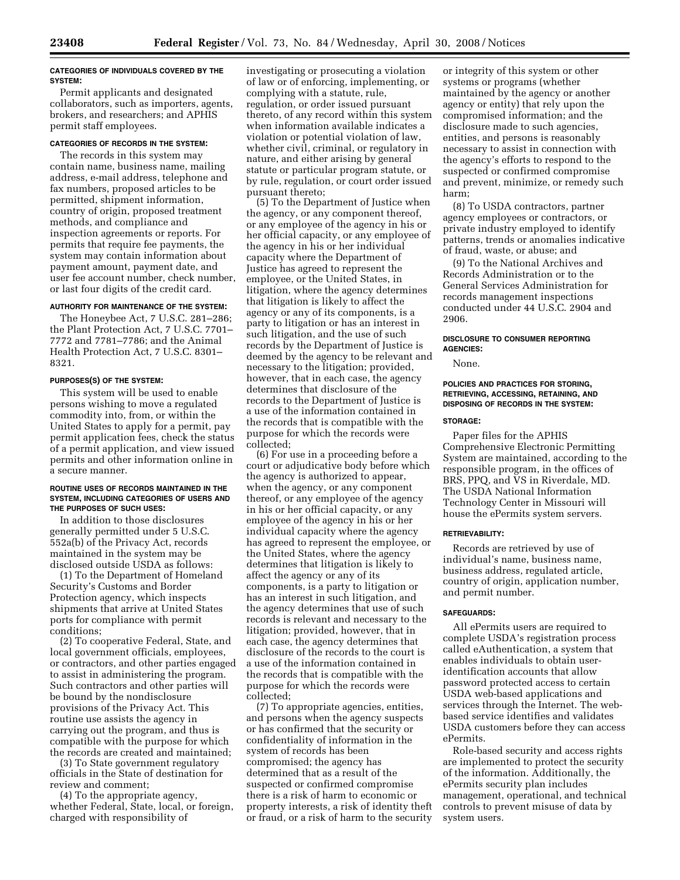### **CATEGORIES OF INDIVIDUALS COVERED BY THE SYSTEM:**

Permit applicants and designated collaborators, such as importers, agents, brokers, and researchers; and APHIS permit staff employees.

#### **CATEGORIES OF RECORDS IN THE SYSTEM:**

The records in this system may contain name, business name, mailing address, e-mail address, telephone and fax numbers, proposed articles to be permitted, shipment information, country of origin, proposed treatment methods, and compliance and inspection agreements or reports. For permits that require fee payments, the system may contain information about payment amount, payment date, and user fee account number, check number, or last four digits of the credit card.

#### **AUTHORITY FOR MAINTENANCE OF THE SYSTEM:**

The Honeybee Act, 7 U.S.C. 281–286; the Plant Protection Act, 7 U.S.C. 7701– 7772 and 7781–7786; and the Animal Health Protection Act, 7 U.S.C. 8301– 8321.

#### **PURPOSES(S) OF THE SYSTEM:**

This system will be used to enable persons wishing to move a regulated commodity into, from, or within the United States to apply for a permit, pay permit application fees, check the status of a permit application, and view issued permits and other information online in a secure manner.

### **ROUTINE USES OF RECORDS MAINTAINED IN THE SYSTEM, INCLUDING CATEGORIES OF USERS AND THE PURPOSES OF SUCH USES:**

In addition to those disclosures generally permitted under 5 U.S.C. 552a(b) of the Privacy Act, records maintained in the system may be disclosed outside USDA as follows:

(1) To the Department of Homeland Security's Customs and Border Protection agency, which inspects shipments that arrive at United States ports for compliance with permit conditions;

(2) To cooperative Federal, State, and local government officials, employees, or contractors, and other parties engaged to assist in administering the program. Such contractors and other parties will be bound by the nondisclosure provisions of the Privacy Act. This routine use assists the agency in carrying out the program, and thus is compatible with the purpose for which the records are created and maintained;

(3) To State government regulatory officials in the State of destination for review and comment;

(4) To the appropriate agency, whether Federal, State, local, or foreign, charged with responsibility of

investigating or prosecuting a violation of law or of enforcing, implementing, or complying with a statute, rule, regulation, or order issued pursuant thereto, of any record within this system when information available indicates a violation or potential violation of law, whether civil, criminal, or regulatory in nature, and either arising by general statute or particular program statute, or by rule, regulation, or court order issued pursuant thereto;

(5) To the Department of Justice when the agency, or any component thereof, or any employee of the agency in his or her official capacity, or any employee of the agency in his or her individual capacity where the Department of Justice has agreed to represent the employee, or the United States, in litigation, where the agency determines that litigation is likely to affect the agency or any of its components, is a party to litigation or has an interest in such litigation, and the use of such records by the Department of Justice is deemed by the agency to be relevant and necessary to the litigation; provided, however, that in each case, the agency determines that disclosure of the records to the Department of Justice is a use of the information contained in the records that is compatible with the purpose for which the records were collected;

(6) For use in a proceeding before a court or adjudicative body before which the agency is authorized to appear, when the agency, or any component thereof, or any employee of the agency in his or her official capacity, or any employee of the agency in his or her individual capacity where the agency has agreed to represent the employee, or the United States, where the agency determines that litigation is likely to affect the agency or any of its components, is a party to litigation or has an interest in such litigation, and the agency determines that use of such records is relevant and necessary to the litigation; provided, however, that in each case, the agency determines that disclosure of the records to the court is a use of the information contained in the records that is compatible with the purpose for which the records were collected;

(7) To appropriate agencies, entities, and persons when the agency suspects or has confirmed that the security or confidentiality of information in the system of records has been compromised; the agency has determined that as a result of the suspected or confirmed compromise there is a risk of harm to economic or property interests, a risk of identity theft or fraud, or a risk of harm to the security

or integrity of this system or other systems or programs (whether maintained by the agency or another agency or entity) that rely upon the compromised information; and the disclosure made to such agencies, entities, and persons is reasonably necessary to assist in connection with the agency's efforts to respond to the suspected or confirmed compromise and prevent, minimize, or remedy such harm;

(8) To USDA contractors, partner agency employees or contractors, or private industry employed to identify patterns, trends or anomalies indicative of fraud, waste, or abuse; and

(9) To the National Archives and Records Administration or to the General Services Administration for records management inspections conducted under 44 U.S.C. 2904 and 2906.

#### **DISCLOSURE TO CONSUMER REPORTING AGENCIES:**

None.

### **POLICIES AND PRACTICES FOR STORING, RETRIEVING, ACCESSING, RETAINING, AND DISPOSING OF RECORDS IN THE SYSTEM:**

### **STORAGE:**

Paper files for the APHIS Comprehensive Electronic Permitting System are maintained, according to the responsible program, in the offices of BRS, PPQ, and VS in Riverdale, MD. The USDA National Information Technology Center in Missouri will house the ePermits system servers.

### **RETRIEVABILITY:**

Records are retrieved by use of individual's name, business name, business address, regulated article, country of origin, application number, and permit number.

#### **SAFEGUARDS:**

All ePermits users are required to complete USDA's registration process called eAuthentication, a system that enables individuals to obtain useridentification accounts that allow password protected access to certain USDA web-based applications and services through the Internet. The webbased service identifies and validates USDA customers before they can access ePermits.

Role-based security and access rights are implemented to protect the security of the information. Additionally, the ePermits security plan includes management, operational, and technical controls to prevent misuse of data by system users.